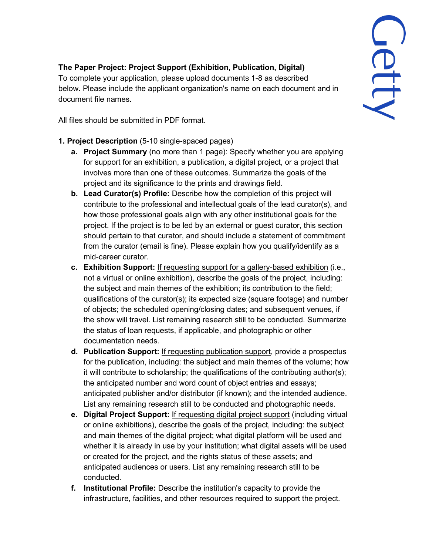## **The Paper Project: Project Support (Exhibition, Publication, Digital)**

To complete your application, please upload documents 1-8 as described below. Please include the applicant organization's name on each document and in document file names.

All files should be submitted in PDF format.

- **1. Project Description** (5-10 single-spaced pages)
	- **a. Project Summary** (no more than 1 page): Specify whether you are applying for support for an exhibition, a publication, a digital project, or a project that involves more than one of these outcomes. Summarize the goals of the project and its significance to the prints and drawings field.
	- **b. Lead Curator(s) Profile:** Describe how the completion of this project will contribute to the professional and intellectual goals of the lead curator(s), and how those professional goals align with any other institutional goals for the project. If the project is to be led by an external or guest curator, this section should pertain to that curator, and should include a statement of commitment from the curator (email is fine). Please explain how you qualify/identify as a mid-career curator.
	- **c. Exhibition Support:** If requesting support for a gallery-based exhibition (i.e., not a virtual or online exhibition), describe the goals of the project, including: the subject and main themes of the exhibition; its contribution to the field; qualifications of the curator(s); its expected size (square footage) and number of objects; the scheduled opening/closing dates; and subsequent venues, if the show will travel. List remaining research still to be conducted. Summarize the status of loan requests, if applicable, and photographic or other documentation needs.
	- **d. Publication Support:** If requesting publication support, provide a prospectus for the publication, including: the subject and main themes of the volume; how it will contribute to scholarship; the qualifications of the contributing author(s); the anticipated number and word count of object entries and essays; anticipated publisher and/or distributor (if known); and the intended audience. List any remaining research still to be conducted and photographic needs.
	- **e. Digital Project Support:** If requesting digital project support (including virtual or online exhibitions), describe the goals of the project, including: the subject and main themes of the digital project; what digital platform will be used and whether it is already in use by your institution; what digital assets will be used or created for the project, and the rights status of these assets; and anticipated audiences or users. List any remaining research still to be conducted.
	- **f. Institutional Profile:** Describe the institution's capacity to provide the infrastructure, facilities, and other resources required to support the project.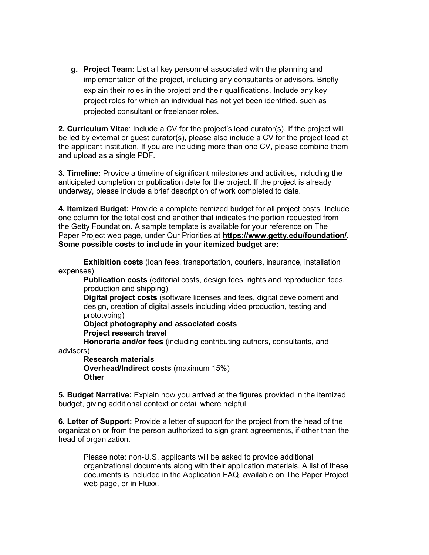**g. Project Team:** List all key personnel associated with the planning and implementation of the project, including any consultants or advisors. Briefly explain their roles in the project and their qualifications. Include any key project roles for which an individual has not yet been identified, such as projected consultant or freelancer roles.

**2. Curriculum Vitae**: Include a CV for the project's lead curator(s). If the project will be led by external or guest curator(s), please also include a CV for the project lead at the applicant institution. If you are including more than one CV, please combine them and upload as a single PDF.

**3. Timeline:** Provide a timeline of significant milestones and activities, including the anticipated completion or publication date for the project. If the project is already underway, please include a brief description of work completed to date.

**4. Itemized Budget:** Provide a complete itemized budget for all project costs. Include one column for the total cost and another that indicates the portion requested from the Getty Foundation. A sample template is available for your reference on The Paper Project web page, under Our Priorities at **https://www.getty.edu/foundation/. Some possible costs to include in your itemized budget are:**

**Exhibition costs** (loan fees, transportation, couriers, insurance, installation expenses)

**Publication costs** (editorial costs, design fees, rights and reproduction fees, production and shipping)

**Digital project costs** (software licenses and fees, digital development and design, creation of digital assets including video production, testing and prototyping)

**Object photography and associated costs Project research travel**

**Honoraria and/or fees** (including contributing authors, consultants, and

advisors)

**Research materials Overhead/Indirect costs** (maximum 15%) **Other**

**5. Budget Narrative:** Explain how you arrived at the figures provided in the itemized budget, giving additional context or detail where helpful.

**6. Letter of Support:** Provide a letter of support for the project from the head of the organization or from the person authorized to sign grant agreements, if other than the head of organization.

Please note: non-U.S. applicants will be asked to provide additional organizational documents along with their application materials. A list of these documents is included in the Application FAQ, available on The Paper Project web page, or in Fluxx.